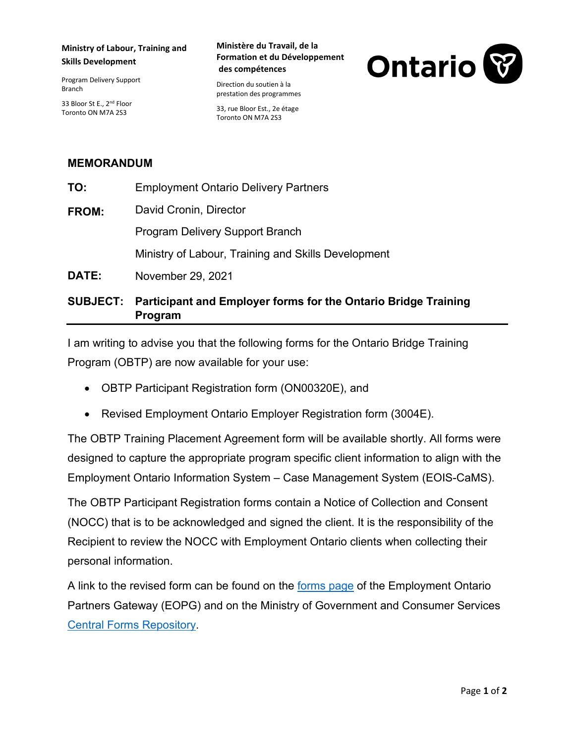## **Ministry of Labour, Training and Skills Development**

Program Delivery Support Branch

33 Bloor St E., 2<sup>nd</sup> Floor Toronto ON M7A 2S3

### **Ministère du Travail, de la Formation et du Développement des compétences**

Direction du soutien à la prestation des programmes

33, rue Bloor Est., 2e étage Toronto ON M7A 2S3



# **MEMORANDUM**

|       | ■ 2004年 - 2004年 - 2008年 - 2008年 - 2009年 - 2009年 - 2009年 - 2009年 - 2009年 - 2009年 - 2009年 - 2009年 - 2009年 - 2009年 |
|-------|-----------------------------------------------------------------------------------------------------------------|
| DATE: | November 29, 2021                                                                                               |
|       | Ministry of Labour, Training and Skills Development                                                             |
|       | <b>Program Delivery Support Branch</b>                                                                          |
| FROM: | David Cronin, Director                                                                                          |
| TO:   | <b>Employment Ontario Delivery Partners</b>                                                                     |
|       |                                                                                                                 |

# **SUBJECT: Participant and Employer forms for the Ontario Bridge Training Program**

I am writing to advise you that the following forms for the Ontario Bridge Training Program (OBTP) are now available for your use:

- OBTP Participant Registration form (ON00320E), and
- Revised Employment Ontario Employer Registration form (3004E).

The OBTP Training Placement Agreement form will be available shortly. All forms were designed to capture the appropriate program specific client information to align with the Employment Ontario Information System – Case Management System (EOIS-CaMS).

The OBTP Participant Registration forms contain a Notice of Collection and Consent (NOCC) that is to be acknowledged and signed the client. It is the responsibility of the Recipient to review the NOCC with Employment Ontario clients when collecting their personal information.

A link to the revised form can be found on the [forms page](http://www.tcu.gov.on.ca/eng/eopg/tools/forms.html) of the Employment Ontario Partners Gateway (EOPG) and on the Ministry of Government and Consumer Services [Central Forms Repository.](https://www.forms.ssb.gov.on.ca/mbs/ssb/forms/ssbforms.nsf/?OpenDatabase&ENV=WWE)